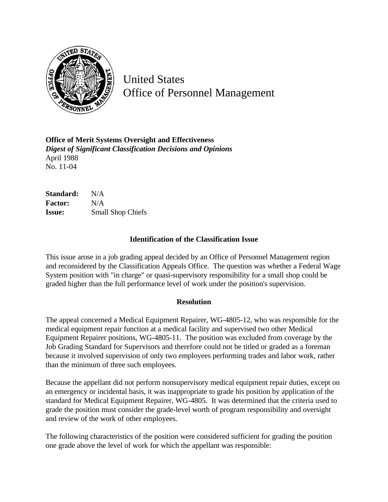

United States Office of Personnel Management

**Office of Merit Systems Oversight and Effectiveness** *Digest of Significant Classification Decisions and Opinions* April 1988 No. 11-04

| Standard:      | N/A                      |
|----------------|--------------------------|
| <b>Factor:</b> | N/A                      |
| <b>Issue:</b>  | <b>Small Shop Chiefs</b> |

## **Identification of the Classification Issue**

This issue arose in a job grading appeal decided by an Office of Personnel Management region and reconsidered by the Classification Appeals Office. The question was whether a Federal Wage System position with "in charge" or quasi-supervisory responsibility for a small shop could be graded higher than the full performance level of work under the position's supervision.

## **Resolution**

The appeal concerned a Medical Equipment Repairer, WG-4805-12, who was responsible for the medical equipment repair function at a medical facility and supervised two other Medical Equipment Repairer positions, WG-4805-11. The position was excluded from coverage by the Job Grading Standard for Supervisors and therefore could not be titled or graded as a foreman because it involved supervision of only two employees performing trades and labor work, rather than the minimum of three such employees.

Because the appellant did not perform nonsupervisory medical equipment repair duties, except on an emergency or incidental basis, it was inappropriate to grade his position by application of the standard for Medical Equipment Repairer, WG-4805. It was determined that the criteria used to grade the position must consider the grade-level worth of program responsibility and oversight and review of the work of other employees.

The following characteristics of the position were considered sufficient for grading the position one grade above the level of work for which the appellant was responsible: